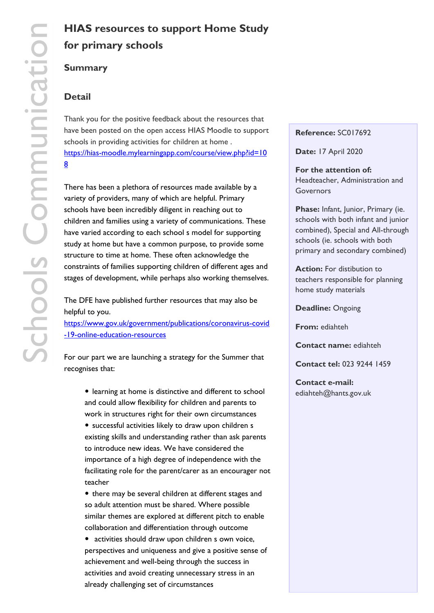# **for primary schools**

## **Summary**

## **Detail**

Thank you for the positive feedback about the resources that have been posted on the open access HIAS Moodle to support schools in providing activities for children at home . https://hias-moodle.mylearningapp.com/course/view.php?id=10 8

[There has been a plethora of resources made available by a](https://hias-moodle.mylearningapp.com/course/view.php?id=108) [va](https://hias-moodle.mylearningapp.com/course/view.php?id=108)riety of providers, many of which are helpful. Primary schools have been incredibly diligent in reaching out to children and families using a variety of communications. These have varied according to each school s model for supporting study at home but have a common purpose, to provide some structure to time at home. These often acknowledge the constraints of families supporting children of different ages and stages of development, while perhaps also working themselves.

The DFE have published further resources that may also be helpful to you. https://www.gov.uk/government/publications/coronavirus-covid

-19-online-education-resources

[For our part we are launching a strategy for the Summer that](https://www.gov.uk/government/publications/coronavirus-covid-19-online-education-resources) [recognises that:](https://www.gov.uk/government/publications/coronavirus-covid-19-online-education-resources)

• learning at home is distinctive and different to school and could allow flexibility for children and parents to work in structures right for their own circumstances

• successful activities likely to draw upon children s existing skills and understanding rather than ask parents to introduce new ideas. We have considered the importance of a high degree of independence with the facilitating role for the parent/carer as an encourager not teacher

• there may be several children at different stages and so adult attention must be shared. Where possible similar themes are explored at different pitch to enable collaboration and differentiation through outcome

• activities should draw upon children s own voice, perspectives and uniqueness and give a positive sense of achievement and well-being through the success in activities and avoid creating unnecessary stress in an already challenging set of circumstances

#### **Reference:** SC017692

**Date:** 17 April 2020

**For the attention of:**  Headteacher, Administration and Governors

**Phase:** Infant, Junior, Primary (ie. schools with both infant and junior combined), Special and All-through schools (ie. schools with both primary and secondary combined)

**Action:** For distibution to teachers responsible for planning home study materials

**Deadline:** Ongoing

**From:** ediahteh

**Contact name:** ediahteh

**Contact tel:** 023 9244 1459

**Contact e-mail:**  ediahteh@hants.gov.uk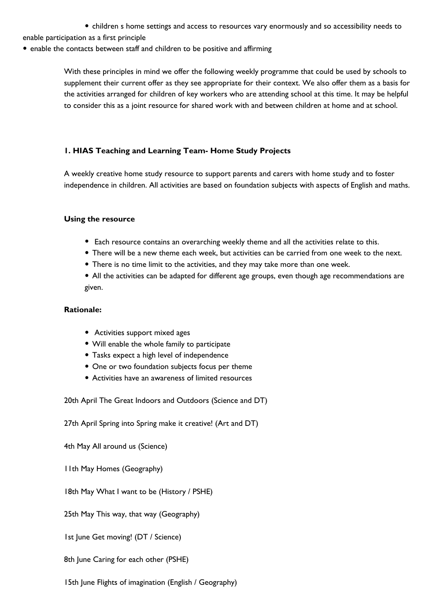• children s home settings and access to resources vary enormously and so accessibility needs to

enable participation as a first principle

• enable the contacts between staff and children to be positive and affirming

With these principles in mind we offer the following weekly programme that could be used by schools to supplement their current offer as they see appropriate for their context. We also offer them as a basis for the activities arranged for children of key workers who are attending school at this time. It may be helpful to consider this as a joint resource for shared work with and between children at home and at school.

## **1. HIAS Teaching and Learning Team- Home Study Projects**

A weekly creative home study resource to support parents and carers with home study and to foster independence in children. All activities are based on foundation subjects with aspects of English and maths.

## **Using the resource**

- Each resource contains an overarching weekly theme and all the activities relate to this.
- There will be a new theme each week, but activities can be carried from one week to the next.
- There is no time limit to the activities, and they may take more than one week.
- All the activities can be adapted for different age groups, even though age recommendations are given.

## **Rationale:**

- Activities support mixed ages
- Will enable the whole family to participate
- Tasks expect a high level of independence
- One or two foundation subjects focus per theme
- Activities have an awareness of limited resources

20th April The Great Indoors and Outdoors (Science and DT)

27th April Spring into Spring make it creative! (Art and DT)

4th May All around us (Science)

- 11th May Homes (Geography)
- 18th May What I want to be (History / PSHE)

25th May This way, that way (Geography)

1st June Get moving! (DT / Science)

8th June Caring for each other (PSHE)

15th June Flights of imagination (English / Geography)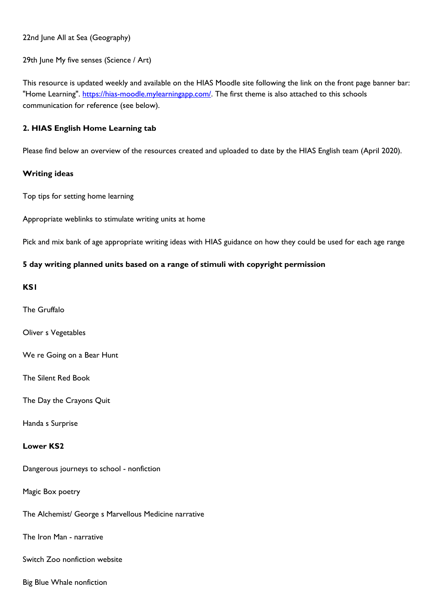22nd June All at Sea (Geography)

29th June My five senses (Science / Art)

This resource is updated weekly and available on the HIAS Moodle site following the link on the front page banner bar: "Home Learning". https://hias-moodle.mylearningapp.com/. The first theme is also attached to this schools communication for reference (see below).

## **2. HIAS English [Home Learning tab](https://hias-moodle.mylearningapp.com/)**

Please find below an overview of the resources created and uploaded to date by the HIAS English team (April 2020).

## **Writing ideas**

Top tips for setting home learning

Appropriate weblinks to stimulate writing units at home

Pick and mix bank of age appropriate writing ideas with HIAS guidance on how they could be used for each age range

## **5 day writing planned units based on a range of stimuli with copyright permission**

## **KS1**

The Gruffalo

Oliver s Vegetables

We re Going on a Bear Hunt

The Silent Red Book

The Day the Crayons Quit

Handa s Surprise

## **Lower KS2**

Dangerous journeys to school - nonfiction

Magic Box poetry

The Alchemist/ George s Marvellous Medicine narrative

The Iron Man - narrative

Switch Zoo nonfiction website

Big Blue Whale nonfiction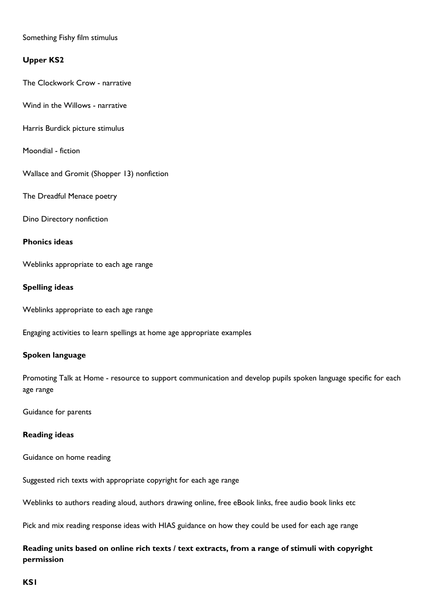## Something Fishy film stimulus

## **Upper KS2**

The Clockwork Crow - narrative

Wind in the Willows - narrative

Harris Burdick picture stimulus

Moondial - fiction

Wallace and Gromit (Shopper 13) nonfiction

The Dreadful Menace poetry

Dino Directory nonfiction

## **Phonics ideas**

Weblinks appropriate to each age range

## **Spelling ideas**

Weblinks appropriate to each age range

Engaging activities to learn spellings at home age appropriate examples

## **Spoken language**

Promoting Talk at Home - resource to support communication and develop pupils spoken language specific for each age range

Guidance for parents

## **Reading ideas**

Guidance on home reading

Suggested rich texts with appropriate copyright for each age range

Weblinks to authors reading aloud, authors drawing online, free eBook links, free audio book links etc

Pick and mix reading response ideas with HIAS guidance on how they could be used for each age range

# **Reading units based on online rich texts / text extracts, from a range of stimuli with copyright permission**

## **KS1**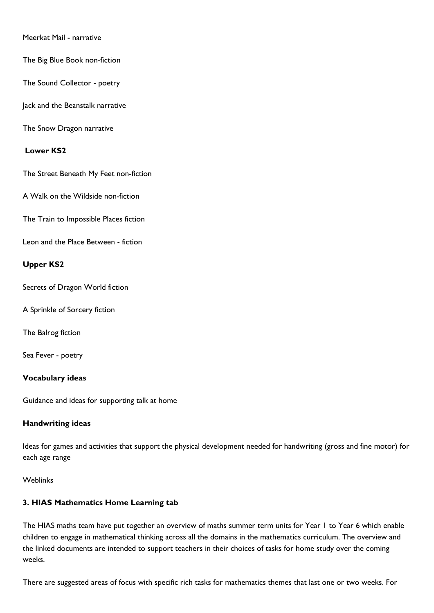## Meerkat Mail - narrative

The Big Blue Book non-fiction

The Sound Collector - poetry

Jack and the Beanstalk narrative

The Snow Dragon narrative

### **Lower KS2**

The Street Beneath My Feet non-fiction

A Walk on the Wildside non-fiction

The Train to Impossible Places fiction

Leon and the Place Between - fiction

## **Upper KS2**

Secrets of Dragon World fiction

A Sprinkle of Sorcery fiction

The Balrog fiction

Sea Fever - poetry

#### **Vocabulary ideas**

Guidance and ideas for supporting talk at home

## **Handwriting ideas**

Ideas for games and activities that support the physical development needed for handwriting (gross and fine motor) for each age range

Weblinks

## **3. HIAS Mathematics Home Learning tab**

The HIAS maths team have put together an overview of maths summer term units for Year 1 to Year 6 which enable children to engage in mathematical thinking across all the domains in the mathematics curriculum. The overview and the linked documents are intended to support teachers in their choices of tasks for home study over the coming weeks.

There are suggested areas of focus with specific rich tasks for mathematics themes that last one or two weeks. For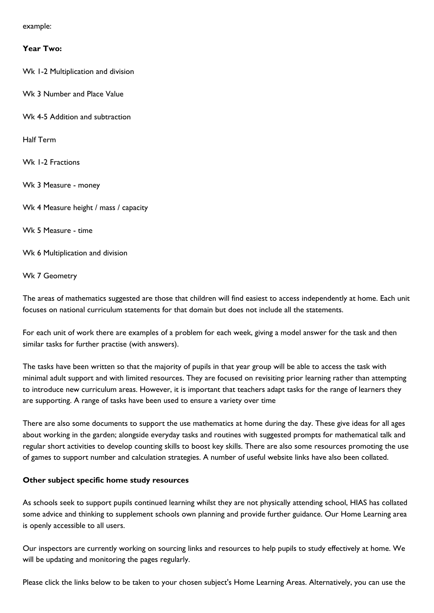example:

#### **Year Two:**

Wk 1-2 Multiplication and division

- Wk 3 Number and Place Value
- Wk 4-5 Addition and subtraction

Half Term

Wk 1-2 Fractions

Wk 3 Measure - money

Wk 4 Measure height / mass / capacity

Wk 5 Measure - time

Wk 6 Multiplication and division

#### Wk 7 Geometry

The areas of mathematics suggested are those that children will find easiest to access independently at home. Each unit focuses on national curriculum statements for that domain but does not include all the statements.

For each unit of work there are examples of a problem for each week, giving a model answer for the task and then similar tasks for further practise (with answers).

The tasks have been written so that the majority of pupils in that year group will be able to access the task with minimal adult support and with limited resources. They are focused on revisiting prior learning rather than attempting to introduce new curriculum areas. However, it is important that teachers adapt tasks for the range of learners they are supporting. A range of tasks have been used to ensure a variety over time

There are also some documents to support the use mathematics at home during the day. These give ideas for all ages about working in the garden; alongside everyday tasks and routines with suggested prompts for mathematical talk and regular short activities to develop counting skills to boost key skills. There are also some resources promoting the use of games to support number and calculation strategies. A number of useful website links have also been collated.

## **Other subject specific home study resources**

As schools seek to support pupils continued learning whilst they are not physically attending school, HIAS has collated some advice and thinking to supplement schools own planning and provide further guidance. Our Home Learning area is openly accessible to all users.

Our inspectors are currently working on sourcing links and resources to help pupils to study effectively at home. We will be updating and monitoring the pages regularly.

Please click the links below to be taken to your chosen subject's Home Learning Areas. Alternatively, you can use the